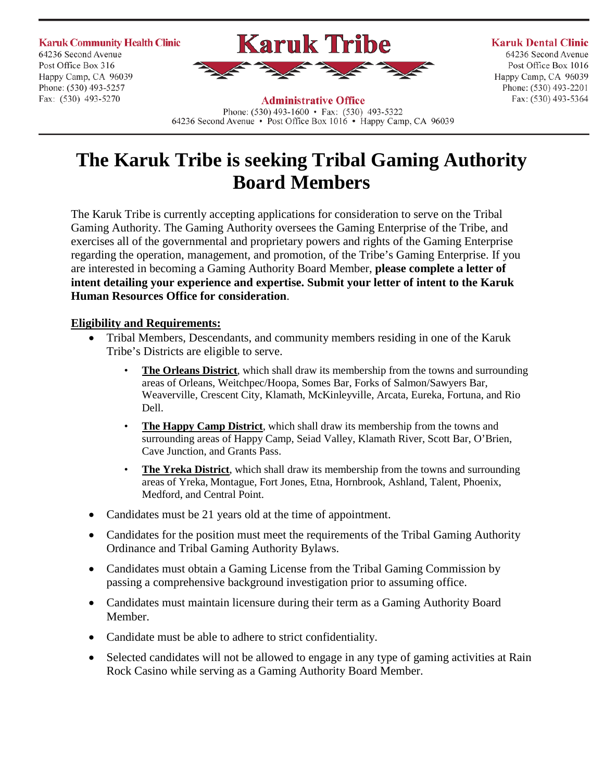**Karuk Community Health Clinic** 64236 Second Avenue Post Office Box 316 Happy Camp, CA 96039 Phone: (530) 493-5257 Fax: (530) 493-5270





#### **Karuk Dental Clinic**

64236 Second Avenue Post Office Box 1016 Happy Camp, CA 96039 Phone: (530) 493-2201 Fax: (530) 493-5364

**Administrative Office** Phone:  $(530)$  493-1600 • Fax:  $(530)$  493-5322 64236 Second Avenue • Post Office Box 1016 • Happy Camp, CA 96039

# **The Karuk Tribe is seeking Tribal Gaming Authority Board Members**

The Karuk Tribe is currently accepting applications for consideration to serve on the Tribal Gaming Authority. The Gaming Authority oversees the Gaming Enterprise of the Tribe, and exercises all of the governmental and proprietary powers and rights of the Gaming Enterprise regarding the operation, management, and promotion, of the Tribe's Gaming Enterprise. If you are interested in becoming a Gaming Authority Board Member, **please complete a letter of intent detailing your experience and expertise. Submit your letter of intent to the Karuk Human Resources Office for consideration**.

#### **Eligibility and Requirements:**

- Tribal Members, Descendants, and community members residing in one of the Karuk Tribe's Districts are eligible to serve.
	- **The Orleans District**, which shall draw its membership from the towns and surrounding areas of Orleans, Weitchpec/Hoopa, Somes Bar, Forks of Salmon/Sawyers Bar, Weaverville, Crescent City, Klamath, McKinleyville, Arcata, Eureka, Fortuna, and Rio Dell.
	- **The Happy Camp District**, which shall draw its membership from the towns and surrounding areas of Happy Camp, Seiad Valley, Klamath River, Scott Bar, O'Brien, Cave Junction, and Grants Pass.
	- **The Yreka District**, which shall draw its membership from the towns and surrounding areas of Yreka, Montague, Fort Jones, Etna, Hornbrook, Ashland, Talent, Phoenix, Medford, and Central Point.
- Candidates must be 21 years old at the time of appointment.
- Candidates for the position must meet the requirements of the Tribal Gaming Authority Ordinance and Tribal Gaming Authority Bylaws.
- Candidates must obtain a Gaming License from the Tribal Gaming Commission by passing a comprehensive background investigation prior to assuming office.
- Candidates must maintain licensure during their term as a Gaming Authority Board Member.
- Candidate must be able to adhere to strict confidentiality.
- Selected candidates will not be allowed to engage in any type of gaming activities at Rain Rock Casino while serving as a Gaming Authority Board Member.